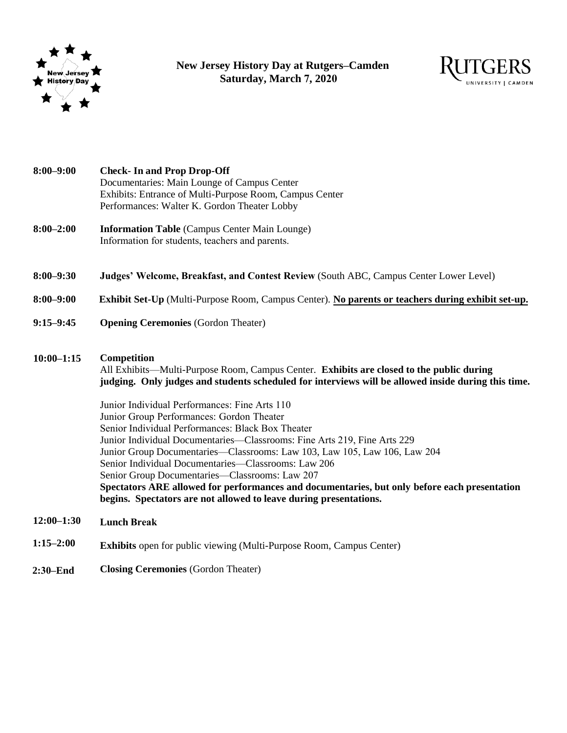

 **New Jersey History Day at Rutgers–Camden Saturday, March 7, 2020**



| $8:00 - 9:00$  | <b>Check-In and Prop Drop-Off</b><br>Documentaries: Main Lounge of Campus Center<br>Exhibits: Entrance of Multi-Purpose Room, Campus Center<br>Performances: Walter K. Gordon Theater Lobby                                                                                                                                                                                                                                                                                                                                                                                                                                                                                                                                                                                                              |
|----------------|----------------------------------------------------------------------------------------------------------------------------------------------------------------------------------------------------------------------------------------------------------------------------------------------------------------------------------------------------------------------------------------------------------------------------------------------------------------------------------------------------------------------------------------------------------------------------------------------------------------------------------------------------------------------------------------------------------------------------------------------------------------------------------------------------------|
| $8:00 - 2:00$  | <b>Information Table (Campus Center Main Lounge)</b><br>Information for students, teachers and parents.                                                                                                                                                                                                                                                                                                                                                                                                                                                                                                                                                                                                                                                                                                  |
| $8:00 - 9:30$  | Judges' Welcome, Breakfast, and Contest Review (South ABC, Campus Center Lower Level)                                                                                                                                                                                                                                                                                                                                                                                                                                                                                                                                                                                                                                                                                                                    |
| $8:00 - 9:00$  | Exhibit Set-Up (Multi-Purpose Room, Campus Center). No parents or teachers during exhibit set-up.                                                                                                                                                                                                                                                                                                                                                                                                                                                                                                                                                                                                                                                                                                        |
| $9:15 - 9:45$  | <b>Opening Ceremonies (Gordon Theater)</b>                                                                                                                                                                                                                                                                                                                                                                                                                                                                                                                                                                                                                                                                                                                                                               |
| $10:00 - 1:15$ | Competition<br>All Exhibits—Multi-Purpose Room, Campus Center. Exhibits are closed to the public during<br>judging. Only judges and students scheduled for interviews will be allowed inside during this time.<br>Junior Individual Performances: Fine Arts 110<br>Junior Group Performances: Gordon Theater<br>Senior Individual Performances: Black Box Theater<br>Junior Individual Documentaries—Classrooms: Fine Arts 219, Fine Arts 229<br>Junior Group Documentaries—Classrooms: Law 103, Law 105, Law 106, Law 204<br>Senior Individual Documentaries-Classrooms: Law 206<br>Senior Group Documentaries-Classrooms: Law 207<br>Spectators ARE allowed for performances and documentaries, but only before each presentation<br>begins. Spectators are not allowed to leave during presentations. |
| $12:00 - 1:30$ | <b>Lunch Break</b>                                                                                                                                                                                                                                                                                                                                                                                                                                                                                                                                                                                                                                                                                                                                                                                       |
| $1:15 - 2:00$  | <b>Exhibits</b> open for public viewing (Multi-Purpose Room, Campus Center)                                                                                                                                                                                                                                                                                                                                                                                                                                                                                                                                                                                                                                                                                                                              |
| $2:30 - End$   | <b>Closing Ceremonies (Gordon Theater)</b>                                                                                                                                                                                                                                                                                                                                                                                                                                                                                                                                                                                                                                                                                                                                                               |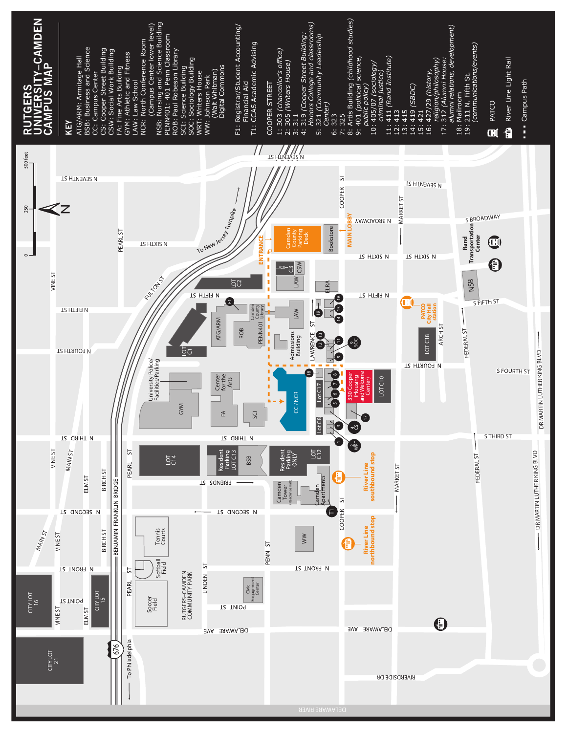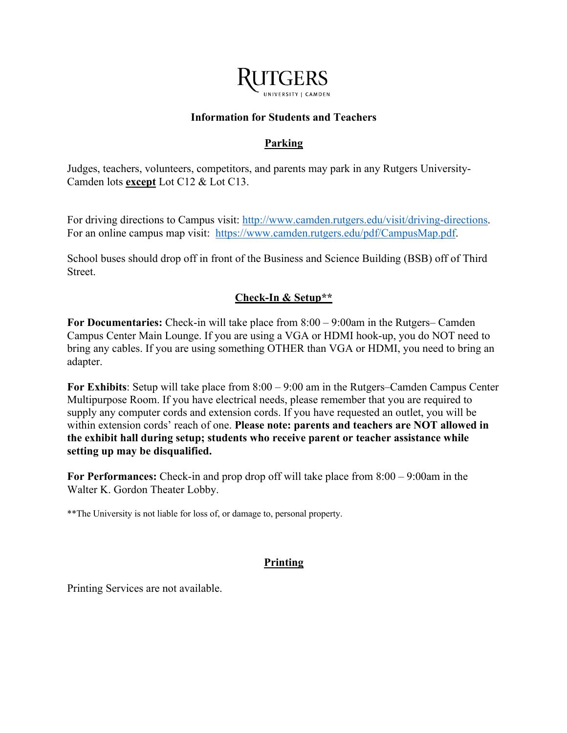

### **Information for Students and Teachers**

# **Parking**

Judges, teachers, volunteers, competitors, and parents may park in any Rutgers University-Camden lots **except** Lot C12 & Lot C13.

For driving directions to Campus visit: http://www.camden.rutgers.edu/visit/driving-directions. For an online campus map visit: https://www.camden.rutgers.edu/pdf/CampusMap.pdf.

School buses should drop off in front of the Business and Science Building (BSB) off of Third Street.

# **Check-In & Setup\*\***

**For Documentaries:** Check-in will take place from 8:00 – 9:00am in the Rutgers– Camden Campus Center Main Lounge. If you are using a VGA or HDMI hook-up, you do NOT need to bring any cables. If you are using something OTHER than VGA or HDMI, you need to bring an adapter.

**For Exhibits**: Setup will take place from 8:00 – 9:00 am in the Rutgers–Camden Campus Center Multipurpose Room. If you have electrical needs, please remember that you are required to supply any computer cords and extension cords. If you have requested an outlet, you will be within extension cords' reach of one. **Please note: parents and teachers are NOT allowed in the exhibit hall during setup; students who receive parent or teacher assistance while setting up may be disqualified.** 

**For Performances:** Check-in and prop drop off will take place from 8:00 – 9:00am in the Walter K. Gordon Theater Lobby.

\*\*The University is not liable for loss of, or damage to, personal property.

## **Printing**

Printing Services are not available.